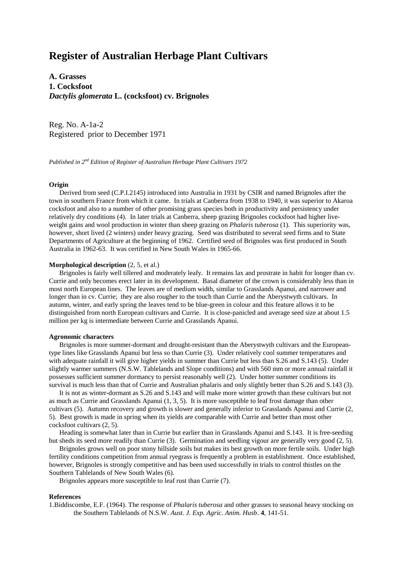# **Register of Australian Herbage Plant Cultivars**

**A. Grasses 1. Cocksfoot** *Dactylis glomerata* **L. (cocksfoot) cv. Brignoles**

Reg. No. A-1a-2 Registered prior to December 1971

*Published in 2nd Edition of Register of Australian Herbage Plant Cultivars 1972*

### **Origin**

 Derived from seed (C.P.I.2145) introduced into Australia in 1931 by CSIR and named Brignoles after the town in southern France from which it came. In trials at Canberra from 1938 to 1940, it was superior to Akaroa cocksfoot and also to a number of other promising grass species both in productivity and persistency under relatively dry conditions (4). In later trials at Canberra, sheep grazing Brignoles cocksfoot had higher liveweight gains and wool production in winter than sheep grazing on *Phalaris tuberosa* (1). This superiority was, however, short lived (2 winters) under heavy grazing. Seed was distributed to several seed firms and to State Departments of Agriculture at the beginning of 1962. Certified seed of Brignoles was first produced in South Australia in 1962-63. It was certified in New South Wales in 1965-66.

# **Morphological description** (2, 5, et al.)

 Brignoles is fairly well tillered and moderately leafy. It remains lax and prostrate in habit for longer than cv. Currie and only becomes erect later in its development. Basal diameter of the crown is considerably less than in most north European lines. The leaves are of medium width, similar to Grasslands Apanui, and narrower and longer than in cv. Currie; they are also rougher to the touch than Currie and the Aberystwyth cultivars. In autumn, winter, and early spring the leaves tend to be blue-green in colour and this feature allows it to be distinguished from north European cultivars and Currie. It is close-panicled and average seed size at about 1.5 million per kg is intermediate between Currie and Grasslands Apanui.

## **Agronomic characters**

 Brignoles is more summer-dormant and drought-resistant than the Aberystwyth cultivars and the Europeantype lines like Grasslands Apanui but less so than Currie (3). Under relatively cool summer temperatures and with adequate rainfall it will give higher yields in summer than Currie but less than S.26 and S.143 (5). Under slightly warmer summers (N.S.W. Tablelands and Slope conditions) and with 560 mm or more annual rainfall it possesses sufficient summer dormancy to persist reasonably well (2). Under hotter summer conditions its survival is much less than that of Currie and Australian phalaris and only slightly better than S.26 and S.143 (3).

 It is not as winter-dormant as S.26 and S.143 and will make more winter growth than these cultivars but not as much as Currie and Grasslands Apanui (1, 3, 5). It is more susceptible to leaf frost damage than other cultivars (5). Autumn recovery and growth is slower and generally inferior to Grasslands Apanui and Currie (2, 5). Best growth is made in spring when its yields are comparable with Currie and better than most other cocksfoot cultivars (2, 5).

 Heading is somewhat later than in Currie but earlier than in Grasslands Apanui and S.143. It is free-seeding but sheds its seed more readily than Currie (3). Germination and seedling vigour are generally very good (2, 5).

 Brignoles grows well on poor stony hillside soils but makes its best growth on more fertile soils. Under high fertility conditions competition from annual ryegrass is frequently a problem in establishment. Once established, however, Brignoles is strongly competitive and has been used successfully in trials to control thistles on the Southern Tablelands of New South Wales (6).

Brignoles appears more susceptible to leaf rust than Currie (7).

#### **References**

1.Biddiscombe, E.F. (1964). The response of *Phalaris tuberosa* and other grasses to seasonal heavy stocking on the Southern Tablelands of N.S.W. *Aust. J. Exp. Agric. Anim. Husb*. **4**, 141-51.